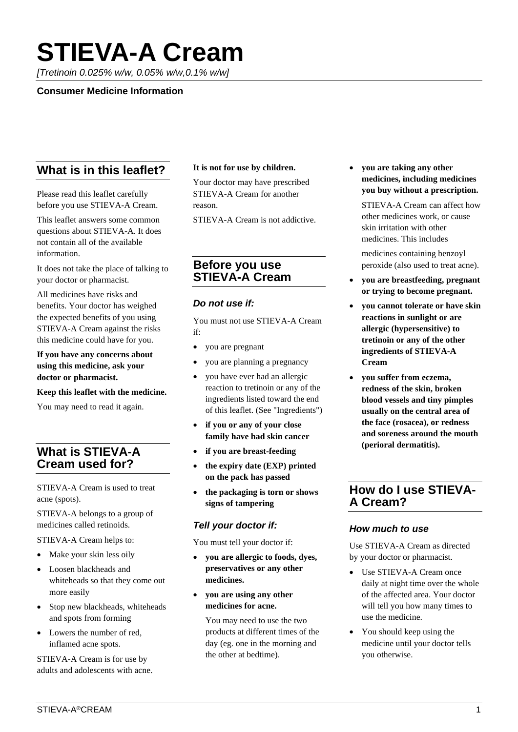# **STIEVA-A Cream**

*[Tretinoin 0.025% w/w, 0.05% w/w,0.1% w/w]*

#### **Consumer Medicine Information**

# **What is in this leaflet?**

Please read this leaflet carefully before you use STIEVA-A Cream.

This leaflet answers some common questions about STIEVA-A. It does not contain all of the available information.

It does not take the place of talking to your doctor or pharmacist.

All medicines have risks and benefits. Your doctor has weighed the expected benefits of you using STIEVA-A Cream against the risks this medicine could have for you.

#### **If you have any concerns about using this medicine, ask your doctor or pharmacist.**

#### **Keep this leaflet with the medicine.**

You may need to read it again.

# **What is STIEVA-A Cream used for?**

STIEVA-A Cream is used to treat acne (spots).

STIEVA-A belongs to a group of medicines called retinoids.

STIEVA-A Cream helps to:

- Make your skin less oily
- Loosen blackheads and whiteheads so that they come out more easily
- Stop new blackheads, whiteheads and spots from forming
- Lowers the number of red, inflamed acne spots.

STIEVA-A Cream is for use by adults and adolescents with acne.

#### **It is not for use by children.**

Your doctor may have prescribed STIEVA-A Cream for another reason.

STIEVA-A Cream is not addictive.

## **Before you use STIEVA-A Cream**

#### *Do not use if:*

You must not use STIEVA-A Cream if:

- you are pregnant
- you are planning a pregnancy
- you have ever had an allergic reaction to tretinoin or any of the ingredients listed toward the end of this leaflet. (See "Ingredients")
- **if you or any of your close family have had skin cancer**
- **if you are breast-feeding**
- **the expiry date (EXP) printed on the pack has passed**
- **the packaging is torn or shows signs of tampering**

## *Tell your doctor if:*

You must tell your doctor if:

- **you are allergic to foods, dyes, preservatives or any other medicines.**
- **you are using any other medicines for acne.**

You may need to use the two products at different times of the day (eg. one in the morning and the other at bedtime).

• **you are taking any other medicines, including medicines you buy without a prescription.**

STIEVA-A Cream can affect how other medicines work, or cause skin irritation with other medicines. This includes

medicines containing benzoyl peroxide (also used to treat acne).

- **you are breastfeeding, pregnant or trying to become pregnant.**
- **you cannot tolerate or have skin reactions in sunlight or are allergic (hypersensitive) to tretinoin or any of the other ingredients of STIEVA-A Cream**
- **you suffer from eczema, redness of the skin, broken blood vessels and tiny pimples usually on the central area of the face (rosacea), or redness and soreness around the mouth (perioral dermatitis).**

## **How do I use STIEVA-A Cream?**

## *How much to use*

Use STIEVA-A Cream as directed by your doctor or pharmacist.

- Use STIEVA-A Cream once daily at night time over the whole of the affected area. Your doctor will tell you how many times to use the medicine.
- You should keep using the medicine until your doctor tells you otherwise.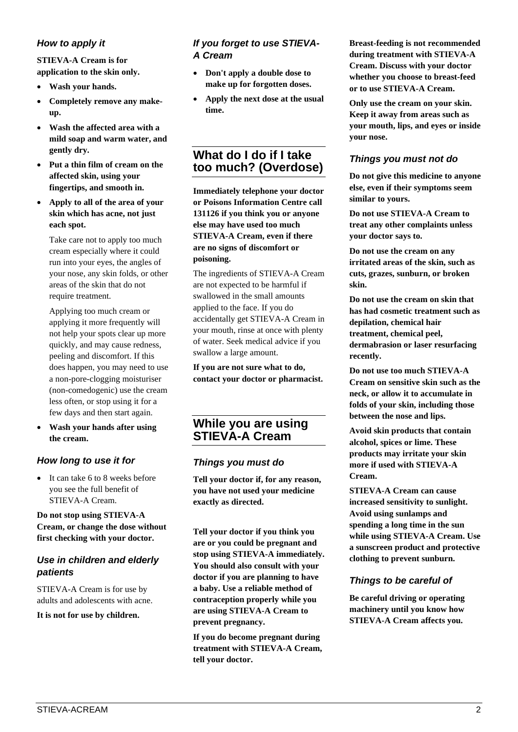## *How to apply it*

#### **STIEVA-A Cream is for application to the skin only.**

- **Wash your hands.**
- **Completely remove any makeup.**
- **Wash the affected area with a mild soap and warm water, and gently dry.**
- **Put a thin film of cream on the affected skin, using your fingertips, and smooth in.**
- **Apply to all of the area of your skin which has acne, not just each spot.**

Take care not to apply too much cream especially where it could run into your eyes, the angles of your nose, any skin folds, or other areas of the skin that do not require treatment.

Applying too much cream or applying it more frequently will not help your spots clear up more quickly, and may cause redness, peeling and discomfort. If this does happen, you may need to use a non-pore-clogging moisturiser (non-comedogenic) use the cream less often, or stop using it for a few days and then start again.

• **Wash your hands after using the cream.**

## *How long to use it for*

• It can take 6 to 8 weeks before you see the full benefit of STIEVA-A Cream.

#### **Do not stop using STIEVA-A Cream, or change the dose without first checking with your doctor.**

## *Use in children and elderly patients*

STIEVA-A Cream is for use by adults and adolescents with acne.

#### **It is not for use by children.**

#### *If you forget to use STIEVA-A Cream*

- **Don't apply a double dose to make up for forgotten doses.**
- **Apply the next dose at the usual time.**

# **What do I do if I take too much? (Overdose)**

**Immediately telephone your doctor or Poisons Information Centre call 131126 if you think you or anyone else may have used too much STIEVA-A Cream, even if there are no signs of discomfort or poisoning.**

The ingredients of STIEVA-A Cream are not expected to be harmful if swallowed in the small amounts applied to the face. If you do accidentally get STIEVA-A Cream in your mouth, rinse at once with plenty of water. Seek medical advice if you swallow a large amount.

**If you are not sure what to do, contact your doctor or pharmacist.**

## **While you are using STIEVA-A Cream**

#### *Things you must do*

**Tell your doctor if, for any reason, you have not used your medicine exactly as directed.**

**Tell your doctor if you think you are or you could be pregnant and stop using STIEVA-A immediately. You should also consult with your doctor if you are planning to have a baby. Use a reliable method of contraception properly while you are using STIEVA-A Cream to prevent pregnancy.**

**If you do become pregnant during treatment with STIEVA-A Cream, tell your doctor.**

**Breast-feeding is not recommended during treatment with STIEVA-A Cream. Discuss with your doctor whether you choose to breast-feed or to use STIEVA-A Cream.**

**Only use the cream on your skin. Keep it away from areas such as your mouth, lips, and eyes or inside your nose.**

#### *Things you must not do*

**Do not give this medicine to anyone else, even if their symptoms seem similar to yours.**

**Do not use STIEVA-A Cream to treat any other complaints unless your doctor says to.**

**Do not use the cream on any irritated areas of the skin, such as cuts, grazes, sunburn, or broken skin.**

**Do not use the cream on skin that has had cosmetic treatment such as depilation, chemical hair treatment, chemical peel, dermabrasion or laser resurfacing recently.**

**Do not use too much STIEVA-A Cream on sensitive skin such as the neck, or allow it to accumulate in folds of your skin, including those between the nose and lips.**

**Avoid skin products that contain alcohol, spices or lime. These products may irritate your skin more if used with STIEVA-A Cream.**

**STIEVA-A Cream can cause increased sensitivity to sunlight. Avoid using sunlamps and spending a long time in the sun while using STIEVA-A Cream. Use a sunscreen product and protective clothing to prevent sunburn.**

#### *Things to be careful of*

**Be careful driving or operating machinery until you know how STIEVA-A Cream affects you.**